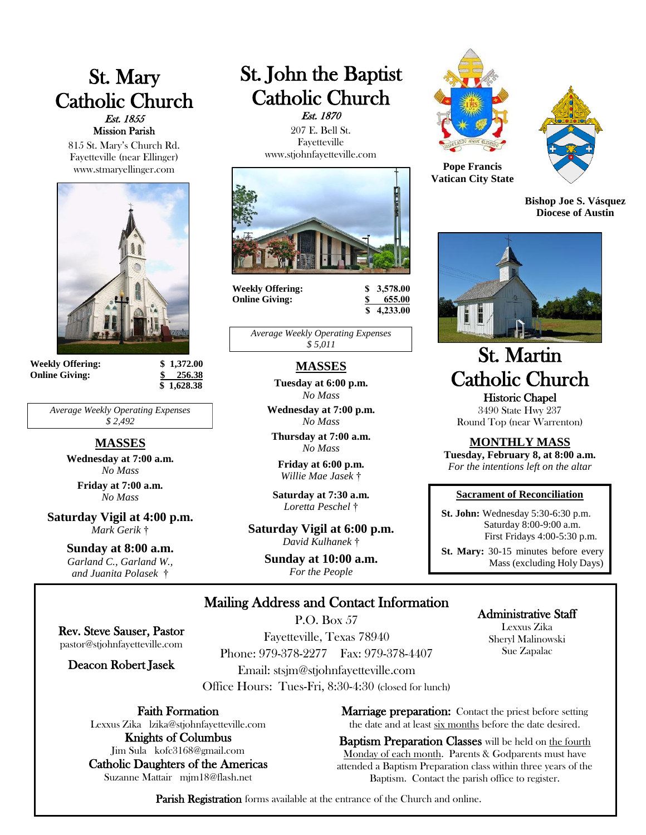# St. Mary Catholic Church Est. 1855 Mission Parish

815 St. Mary's Church Rd. Fayetteville (near Ellinger) www.stmaryellinger.com



**Weekly Offering: \$ 1,372.00 Online Giving: \$ 256.38**

 **\$ 1,628.38**

*Average Weekly Operating Expenses \$ 2,492*

### **MASSES**

**Wednesday at 7:00 a.m.** *No Mass* **Friday at 7:00 a.m.** *No Mass*

**Saturday Vigil at 4:00 p.m.** *Mark Gerik* †

#### **Sunday at 8:00 a.m.**

*Garland C., Garland W., and Juanita Polasek* †

# St. John the Baptist Catholic Church Est. 1870

 207 E. Bell St. Fayetteville www.stjohnfayetteville.com



**Weekly Offering: \$ 3,578.00 Online Giving: \$ 655.00**

 **\$ 4,233.00**

*Average Weekly Operating Expenses \$ 5,011*

### **MASSES**

**Tuesday at 6:00 p.m.** *No Mass*

**Wednesday at 7:00 p.m.** *No Mass*

**Thursday at 7:00 a.m.**  *No Mass*

**Friday at 6:00 p.m.** *Willie Mae Jasek* †

**Saturday at 7:30 a.m.** *Loretta Peschel* †

**Saturday Vigil at 6:00 p.m.** *David Kulhanek* †

> **Sunday at 10:00 a.m.** *For the People*





**Pope Francis Vatican City State**

**Bishop Joe S. Vásquez Diocese of Austin**



# St. Martin Catholic Church Historic Chapel

3490 State Hwy 237 Round Top (near Warrenton)

#### **MONTHLY MASS**

**Tuesday, February 8, at 8:00 a.m.** *For the intentions left on the altar*

#### **Sacrament of Reconciliation**

 **St. John:** Wednesday 5:30-6:30 p.m. Saturday 8:00-9:00 a.m. First Fridays 4:00-5:30 p.m.

 **St. Mary:** 30-15 minutes before every Mass (excluding Holy Days)

### Mailing Address and Contact Information P.O. Box 57

Rev. Steve Sauser, Pastor pastor@stjohnfayetteville.com

Deacon Robert Jasek

Fayetteville, Texas 78940 Phone: 979-378-2277 Fax: 979-378-4407 Email: stsjm@stjohnfayetteville.com Office Hours: Tues-Fri, 8:30-4:30 (closed for lunch)

Faith Formation

Lexxus Zika lzika@stjohnfayetteville.com Knights of Columbus

Jim Sula kofc3168@gmail.com Catholic Daughters of the Americas Suzanne Mattair mjm18@flash.net

Administrative Staff

Lexxus Zika Sheryl Malinowski Sue Zapalac

**Marriage preparation:** Contact the priest before setting the date and at least six months before the date desired.

Baptism Preparation Classes will be held on the fourth Monday of each month. Parents & Godparents must have attended a Baptism Preparation class within three years of the Baptism. Contact the parish office to register.

Parish Registration forms available at the entrance of the Church and online.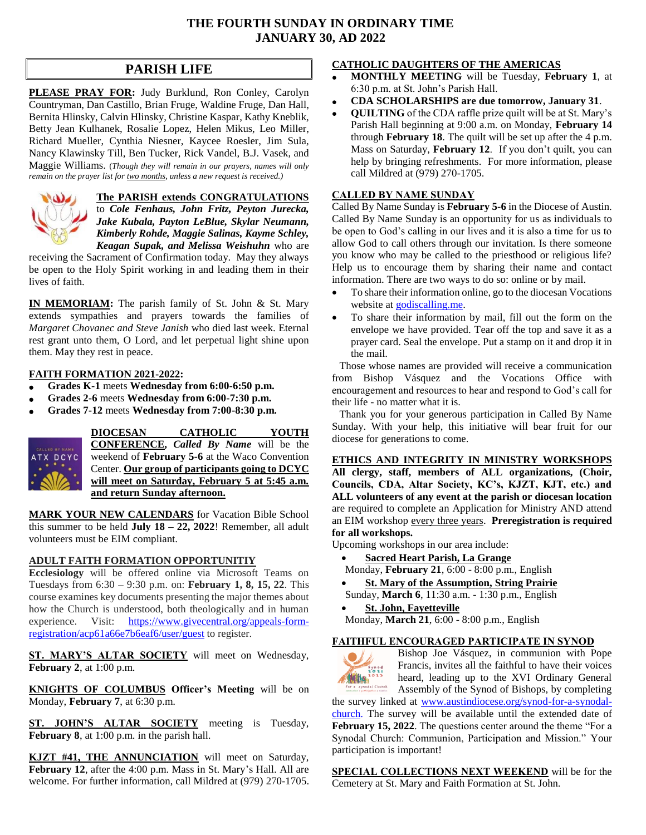### **THE FOURTH SUNDAY IN ORDINARY TIME JANUARY 30, AD 2022**

# **PARISH LIFE**

**PLEASE PRAY FOR:** Judy Burklund, Ron Conley, Carolyn Countryman, Dan Castillo, Brian Fruge, Waldine Fruge, Dan Hall, Bernita Hlinsky, Calvin Hlinsky, Christine Kaspar, Kathy Kneblik, Betty Jean Kulhanek, Rosalie Lopez, Helen Mikus, Leo Miller, Richard Mueller, Cynthia Niesner, Kaycee Roesler, Jim Sula, Nancy Klawinsky Till, Ben Tucker, Rick Vandel, B.J. Vasek, and Maggie Williams. (*Though they will remain in our prayers, names will only remain on the prayer list for two months, unless a new request is received.)*



**The PARISH extends CONGRATULATIONS** to *Cole Fenhaus, John Fritz, Peyton Jurecka, Jake Kubala, Payton LeBlue, Skylar Neumann, Kimberly Rohde, Maggie Salinas, Kayme Schley,* 

*Keagan Supak, and Melissa Weishuhn* who are receiving the Sacrament of Confirmation today. May they always be open to the Holy Spirit working in and leading them in their lives of faith.

**IN MEMORIAM:** The parish family of St. John & St. Mary extends sympathies and prayers towards the families of *Margaret Chovanec and Steve Janish* who died last week. Eternal rest grant unto them, O Lord, and let perpetual light shine upon them. May they rest in peace.

### **FAITH FORMATION 2021-2022:**

- **Grades K-1** meets **Wednesday from 6:00-6:50 p.m.**
- **Grades 2-6** meets **Wednesday from 6:00-7:30 p.m.**
- **Grades 7-12** meets **Wednesday from 7:00-8:30 p.m.**



**DIOCESAN CATHOLIC YOUTH CONFERENCE,** *Called By Name* will be the weekend of **February 5-6** at the Waco Convention Center. **Our group of participants going to DCYC will meet on Saturday, February 5 at 5:45 a.m. and return Sunday afternoon.**

**MARK YOUR NEW CALENDARS** for Vacation Bible School this summer to be held **July 18 – 22, 2022**! Remember, all adult volunteers must be EIM compliant.

#### **ADULT FAITH FORMATION OPPORTUNITIY**

**Ecclesiology** will be offered online via Microsoft Teams on Tuesdays from 6:30 – 9:30 p.m. on: **February 1, 8, 15, 22**. This course examines key documents presenting the major themes about how the Church is understood, both theologically and in human experience. Visit: [https://www.givecentral.org/appeals-form](https://www.givecentral.org/appeals-form-registration/acp61a66e7b6eaf6/user/guest)[registration/acp61a66e7b6eaf6/user/guest](https://www.givecentral.org/appeals-form-registration/acp61a66e7b6eaf6/user/guest) to register.

**ST. MARY'S ALTAR SOCIETY** will meet on Wednesday, **February 2**, at 1:00 p.m.

**KNIGHTS OF COLUMBUS Officer's Meeting** will be on Monday, **February 7**, at 6:30 p.m.

**ST. JOHN'S ALTAR SOCIETY** meeting is Tuesday, **February 8**, at 1:00 p.m. in the parish hall.

**KJZT #41, THE ANNUNCIATION** will meet on Saturday, **February 12**, after the 4:00 p.m. Mass in St. Mary's Hall. All are welcome. For further information, call Mildred at (979) 270-1705.

### **CATHOLIC DAUGHTERS OF THE AMERICAS**

- **MONTHLY MEETING** will be Tuesday, **February 1**, at 6:30 p.m. at St. John's Parish Hall.
- **CDA SCHOLARSHIPS are due tomorrow, January 31**.
- **QUILTING** of the CDA raffle prize quilt will be at St. Mary's Parish Hall beginning at 9:00 a.m. on Monday, **February 14** through **February 18**. The quilt will be set up after the 4 p.m. Mass on Saturday, **February 12**. If you don't quilt, you can help by bringing refreshments. For more information, please call Mildred at (979) 270-1705.

### **CALLED BY NAME SUNDAY**

Called By Name Sunday is **February 5-6** in the Diocese of Austin. Called By Name Sunday is an opportunity for us as individuals to be open to God's calling in our lives and it is also a time for us to allow God to call others through our invitation. Is there someone you know who may be called to the priesthood or religious life? Help us to encourage them by sharing their name and contact information. There are two ways to do so: online or by mail.

- To share their information online, go to the diocesan Vocations website at [godiscalling.me.](godiscalling.me)
- To share their information by mail, fill out the form on the envelope we have provided. Tear off the top and save it as a prayer card. Seal the envelope. Put a stamp on it and drop it in the mail.

Those whose names are provided will receive a communication from Bishop Vásquez and the Vocations Office with encouragement and resources to hear and respond to God's call for their life - no matter what it is.

Thank you for your generous participation in Called By Name Sunday. With your help, this initiative will bear fruit for our diocese for generations to come.

#### **ETHICS AND INTEGRITY IN MINISTRY WORKSHOPS**

**All clergy, staff, members of ALL organizations, (Choir, Councils, CDA, Altar Society, KC's, KJZT, KJT, etc.) and ALL volunteers of any event at the parish or diocesan location**  are required to complete an Application for Ministry AND attend an EIM workshop every three years. **Preregistration is required for all workshops.** 

Upcoming workshops in our area include:

- **Sacred Heart Parish, La Grange**
- Monday, **February 21**, 6:00 8:00 p.m., English
- **St. Mary of the Assumption, String Prairie**

Sunday, **March 6**, 11:30 a.m. - 1:30 p.m., English

 **St. John, Fayetteville** Monday, **March 21**, 6:00 - 8:00 p.m., English

### **FAITHFUL ENCOURAGED PARTICIPATE IN SYNOD**



Bishop Joe Vásquez, in communion with Pope Francis, invites all the faithful to have their voices heard, leading up to the XVI Ordinary General Assembly of the Synod of Bishops, by completing

the survey linked at [www.austindiocese.org/synod-for-a-synodal](http://www.austindiocese.org/synod-for-a-synodal-church)[church.](http://www.austindiocese.org/synod-for-a-synodal-church) The survey will be available until the extended date of **February 15, 2022**. The questions center around the theme "For a Synodal Church: Communion, Participation and Mission." Your participation is important!

**SPECIAL COLLECTIONS NEXT WEEKEND** will be for the Cemetery at St. Mary and Faith Formation at St. John.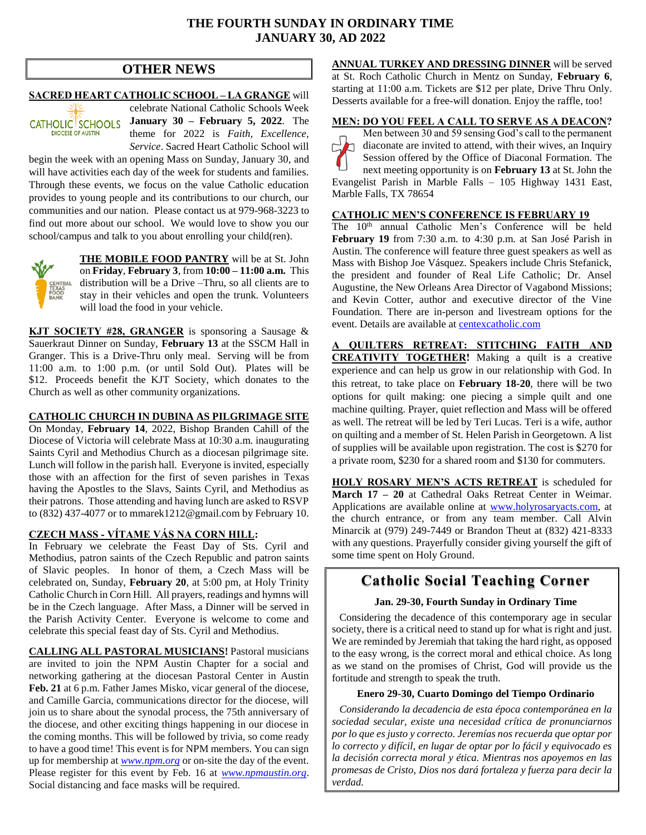### **THE FOURTH SUNDAY IN ORDINARY TIME JANUARY 30, AD 2022**

### **OTHER NEWS**

#### **SACRED HEART CATHOLIC SCHOOL – LA GRANGE** will

CATHOLIC SCHOOLS **DIOCESE OF AUSTIN** 

celebrate National Catholic Schools Week **January 30 – February 5, 2022**. The theme for 2022 is *Faith, Excellence, Service*. Sacred Heart Catholic School will

begin the week with an opening Mass on Sunday, January 30, and will have activities each day of the week for students and families. Through these events, we focus on the value Catholic education provides to young people and its contributions to our church, our communities and our nation. Please contact us at 979-968-3223 to find out more about our school. We would love to show you our school/campus and talk to you about enrolling your child(ren).



**THE MOBILE FOOD PANTRY** will be at St. John on **Friday**, **February 3**, from **10:00 – 11:00 a.m.** This distribution will be a Drive –Thru, so all clients are to stay in their vehicles and open the trunk. Volunteers will load the food in your vehicle.

**KJT SOCIETY #28, GRANGER** is sponsoring a Sausage & Sauerkraut Dinner on Sunday, **February 13** at the SSCM Hall in Granger. This is a Drive-Thru only meal. Serving will be from 11:00 a.m. to 1:00 p.m. (or until Sold Out). Plates will be \$12. Proceeds benefit the KJT Society, which donates to the Church as well as other community organizations.

#### **CATHOLIC CHURCH IN DUBINA AS PILGRIMAGE SITE**

On Monday, **February 14**, 2022, Bishop Branden Cahill of the Diocese of Victoria will celebrate Mass at 10:30 a.m. inaugurating Saints Cyril and Methodius Church as a diocesan pilgrimage site. Lunch will follow in the parish hall. Everyone is invited, especially those with an affection for the first of seven parishes in Texas having the Apostles to the Slavs, Saints Cyril, and Methodius as their patrons. Those attending and having lunch are asked to RSVP to (832) 437-4077 or to [mmarek1212@gmail.com](mailto:mmarek1212@gmail.com) by February 10.

#### **CZECH MASS - VÍTAME VÁS NA CORN HILL:**

In February we celebrate the Feast Day of Sts. Cyril and Methodius, patron saints of the Czech Republic and patron saints of Slavic peoples. In honor of them, a Czech Mass will be celebrated on, Sunday, **February 20**, at 5:00 pm, at Holy Trinity Catholic Church in Corn Hill. All prayers, readings and hymns will be in the Czech language. After Mass, a Dinner will be served in the Parish Activity Center. Everyone is welcome to come and celebrate this special feast day of Sts. Cyril and Methodius.

**CALLING ALL PASTORAL MUSICIANS!** Pastoral musicians are invited to join the NPM Austin Chapter for a social and networking gathering at the diocesan Pastoral Center in Austin **Feb. 21** at 6 p.m. Father James Misko, vicar general of the diocese, and Camille Garcia, communications director for the diocese, will join us to share about the synodal process, the 75th anniversary of the diocese, and other exciting things happening in our diocese in the coming months. This will be followed by trivia, so come ready to have a good time! This event is for NPM members. You can sign up for membership at *[www.npm.org](http://www.npm.org/)* or on-site the day of the event. Please register for this event by Feb. 16 at *[www.npmaustin.org](http://www.npmaustin.org/)*. Social distancing and face masks will be required.

**ANNUAL TURKEY AND DRESSING DINNER** will be served at St. Roch Catholic Church in Mentz on Sunday, **February 6**, starting at 11:00 a.m. Tickets are \$12 per plate, Drive Thru Only. Desserts available for a free-will donation. Enjoy the raffle, too!

#### **MEN: DO YOU FEEL A CALL TO SERVE AS A DEACON?**

Men between 30 and 59 sensing God's call to the permanent  $\Box$  diaconate are invited to attend, with their wives, an Inquiry Session offered by the Office of Diaconal Formation. The next meeting opportunity is on **February 13** at St. John the Evangelist Parish in Marble Falls – 105 Highway 1431 East, Marble Falls, TX 78654

#### **CATHOLIC MEN'S CONFERENCE IS FEBRUARY 19**

The 10<sup>th</sup> annual Catholic Men's Conference will be held **February 19** from 7:30 a.m. to 4:30 p.m. at San José Parish in Austin. The conference will feature three guest speakers as well as Mass with Bishop Joe Vásquez. Speakers include Chris Stefanick, the president and founder of Real Life Catholic; Dr. Ansel Augustine, the New Orleans Area Director of Vagabond Missions; and Kevin Cotter, author and executive director of the Vine Foundation. There are in-person and livestream options for the event. Details are available at **centexcatholic.com** 

**A QUILTERS RETREAT: STITCHING FAITH AND CREATIVITY TOGETHER!** Making a quilt is a creative experience and can help us grow in our relationship with God. In this retreat, to take place on **February 18-20**, there will be two options for quilt making: one piecing a simple quilt and one machine quilting. Prayer, quiet reflection and Mass will be offered as well. The retreat will be led by Teri Lucas. Teri is a wife, author on quilting and a member of St. Helen Parish in Georgetown. A list of supplies will be available upon registration. The cost is \$270 for a private room, \$230 for a shared room and \$130 for commuters.

**HOLY ROSARY MEN'S ACTS RETREAT** is scheduled for **March 17 – 20** at Cathedral Oaks Retreat Center in Weimar. Applications are available online at [www.holyrosaryacts.com,](http://www.holyrosaryacts.com/) at the church entrance, or from any team member. Call Alvin Minarcik at (979) 249-7449 or Brandon Theut at (832) 421-8333 with any questions. Prayerfully consider giving yourself the gift of some time spent on Holy Ground.

## **Catholic Social Teaching Corner**

#### **Jan. 29-30, Fourth Sunday in Ordinary Time**

Considering the decadence of this contemporary age in secular society, there is a critical need to stand up for what is right and just. We are reminded by Jeremiah that taking the hard right, as opposed to the easy wrong, is the correct moral and ethical choice. As long as we stand on the promises of Christ, God will provide us the fortitude and strength to speak the truth.

#### **Enero 29-30, Cuarto Domingo del Tiempo Ordinario**

*Considerando la decadencia de esta época contemporánea en la sociedad secular, existe una necesidad crítica de pronunciarnos por lo que es justo y correcto. Jeremías nos recuerda que optar por lo correcto y difícil, en lugar de optar por lo fácil y equivocado es la decisión correcta moral y ética. Mientras nos apoyemos en las promesas de Cristo, Dios nos dará fortaleza y fuerza para decir la verdad.*